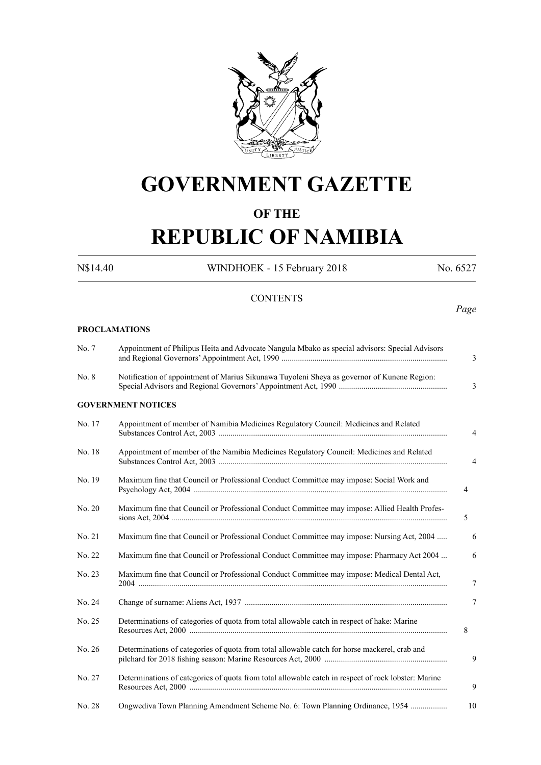

# **GOVERNMENT GAZETTE**

## **OF THE**

# **REPUBLIC OF NAMIBIA**

**PROCLAMATIONS**

N\$14.40 WINDHOEK - 15 February 2018 No. 6527

## **CONTENTS**

*Page*

| No. 7  | Appointment of Philipus Heita and Advocate Nangula Mbako as special advisors: Special Advisors      |
|--------|-----------------------------------------------------------------------------------------------------|
| No. 8  | Notification of appointment of Marius Sikunawa Tuyoleni Sheya as governor of Kunene Region:         |
|        | <b>GOVERNMENT NOTICES</b>                                                                           |
| No. 17 | Appointment of member of Namibia Medicines Regulatory Council: Medicines and Related                |
| No. 18 | Appointment of member of the Namibia Medicines Regulatory Council: Medicines and Related            |
| No. 19 | Maximum fine that Council or Professional Conduct Committee may impose: Social Work and             |
| No. 20 | Maximum fine that Council or Professional Conduct Committee may impose: Allied Health Profes-       |
| No. 21 | Maximum fine that Council or Professional Conduct Committee may impose: Nursing Act, 2004           |
| No. 22 | Maximum fine that Council or Professional Conduct Committee may impose: Pharmacy Act 2004           |
| No. 23 | Maximum fine that Council or Professional Conduct Committee may impose: Medical Dental Act,         |
| No. 24 |                                                                                                     |
| No. 25 | Determinations of categories of quota from total allowable catch in respect of hake: Marine         |
| No. 26 | Determinations of categories of quota from total allowable catch for horse mackerel, crab and       |
| No. 27 | Determinations of categories of quota from total allowable catch in respect of rock lobster: Marine |
| No. 28 | Ongwediva Town Planning Amendment Scheme No. 6: Town Planning Ordinance, 1954                       |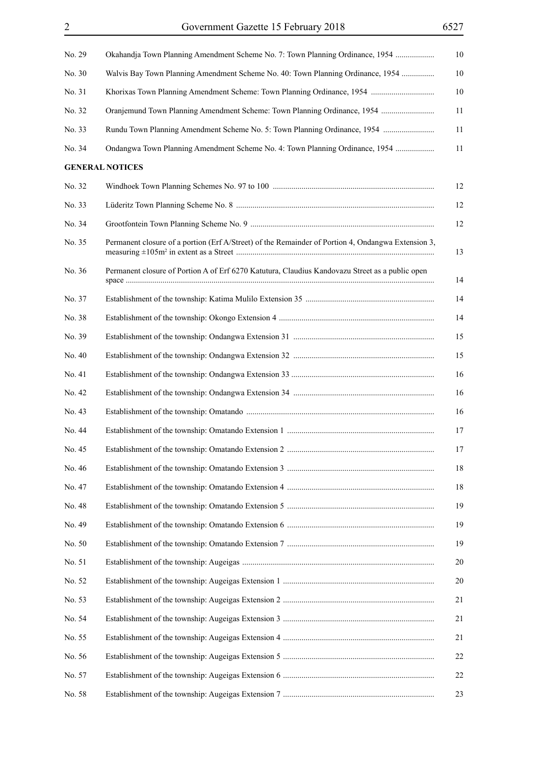| No. 29 | Okahandja Town Planning Amendment Scheme No. 7: Town Planning Ordinance, 1954                      | 10 |
|--------|----------------------------------------------------------------------------------------------------|----|
| No. 30 | Walvis Bay Town Planning Amendment Scheme No. 40: Town Planning Ordinance, 1954                    | 10 |
| No. 31 |                                                                                                    | 10 |
| No. 32 | Oranjemund Town Planning Amendment Scheme: Town Planning Ordinance, 1954                           | 11 |
| No. 33 | Rundu Town Planning Amendment Scheme No. 5: Town Planning Ordinance, 1954                          | 11 |
| No. 34 | Ondangwa Town Planning Amendment Scheme No. 4: Town Planning Ordinance, 1954                       | 11 |
|        | <b>GENERAL NOTICES</b>                                                                             |    |
| No. 32 |                                                                                                    | 12 |
| No. 33 |                                                                                                    | 12 |
| No. 34 |                                                                                                    | 12 |
| No. 35 | Permanent closure of a portion (Erf A/Street) of the Remainder of Portion 4, Ondangwa Extension 3, | 13 |
| No. 36 | Permanent closure of Portion A of Erf 6270 Katutura, Claudius Kandovazu Street as a public open    | 14 |
| No. 37 |                                                                                                    | 14 |
| No. 38 |                                                                                                    | 14 |
| No. 39 |                                                                                                    | 15 |
| No. 40 |                                                                                                    | 15 |
| No. 41 |                                                                                                    | 16 |
| No. 42 |                                                                                                    | 16 |
| No. 43 |                                                                                                    | 16 |
| No. 44 |                                                                                                    | 17 |
| No. 45 |                                                                                                    | 17 |
| No. 46 |                                                                                                    | 18 |
| No. 47 |                                                                                                    | 18 |
| No. 48 |                                                                                                    | 19 |
| No. 49 |                                                                                                    | 19 |
| No. 50 |                                                                                                    | 19 |
| No. 51 |                                                                                                    | 20 |
| No. 52 |                                                                                                    | 20 |
| No. 53 |                                                                                                    | 21 |
| No. 54 |                                                                                                    | 21 |
| No. 55 |                                                                                                    | 21 |
| No. 56 |                                                                                                    | 22 |
| No. 57 |                                                                                                    | 22 |
| No. 58 |                                                                                                    | 23 |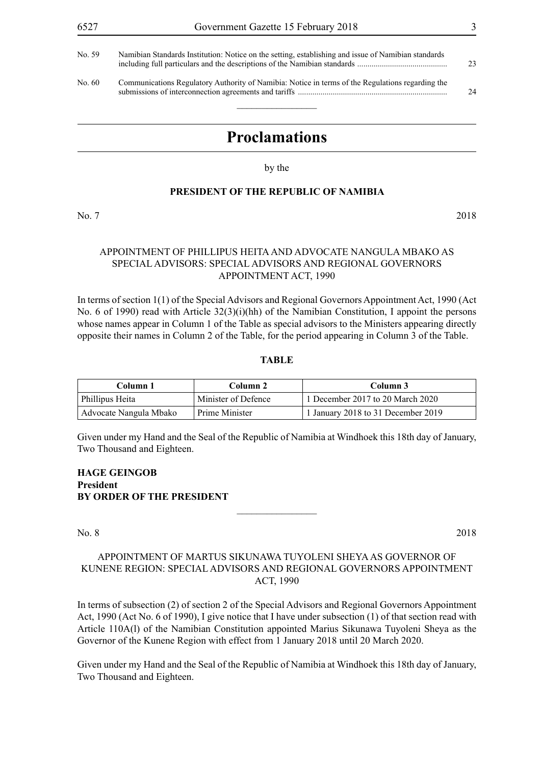| No. 59. | Namibian Standards Institution: Notice on the setting, establishing and issue of Namibian standards | 23 |
|---------|-----------------------------------------------------------------------------------------------------|----|
| No. 60- | Communications Regulatory Authority of Namibia: Notice in terms of the Regulations regarding the    | 24 |

## **Proclamations**

by the

#### **PRESIDENT OF THE REPUBLIC OF NAMIBIA**

No. 7 2018

## APPOINTMENT OF PHILLIPUS HEITA AND ADVOCATE NANGULA MBAKO AS SPECIAL ADVISORS: SPECIAL ADVISORS AND REGIONAL GOVERNORS APPOINTMENT ACT, 1990

In terms of section 1(1) of the Special Advisors and Regional Governors Appointment Act, 1990 (Act No. 6 of 1990) read with Article 32(3)(i)(hh) of the Namibian Constitution, I appoint the persons whose names appear in Column 1 of the Table as special advisors to the Ministers appearing directly opposite their names in Column 2 of the Table, for the period appearing in Column 3 of the Table.

#### **TABLE**

| Column 1               | Column 2            | Column 3                           |
|------------------------|---------------------|------------------------------------|
| Phillipus Heita        | Minister of Defence | 1 December 2017 to 20 March 2020   |
| Advocate Nangula Mbako | Prime Minister      | 1 January 2018 to 31 December 2019 |

Given under my Hand and the Seal of the Republic of Namibia at Windhoek this 18th day of January, Two Thousand and Eighteen.

**HAGE GEINGOB President BY ORDER OF THE PRESIDENT**

No. 8 2018

## APPOINTMENT OF MARTUS SIKUNAWA TUYOLENI SHEYA AS GOVERNOR OF KUNENE REGION: SPECIAL ADVISORS AND REGIONAL GOVERNORS APPOINTMENT ACT, 1990

 $\overline{\phantom{a}}$  , where  $\overline{\phantom{a}}$ 

In terms of subsection (2) of section 2 of the Special Advisors and Regional Governors Appointment Act, 1990 (Act No. 6 of 1990), I give notice that I have under subsection (1) of that section read with Article 110A(l) of the Namibian Constitution appointed Marius Sikunawa Tuyoleni Sheya as the Governor of the Kunene Region with effect from 1 January 2018 until 20 March 2020.

Given under my Hand and the Seal of the Republic of Namibia at Windhoek this 18th day of January, Two Thousand and Eighteen.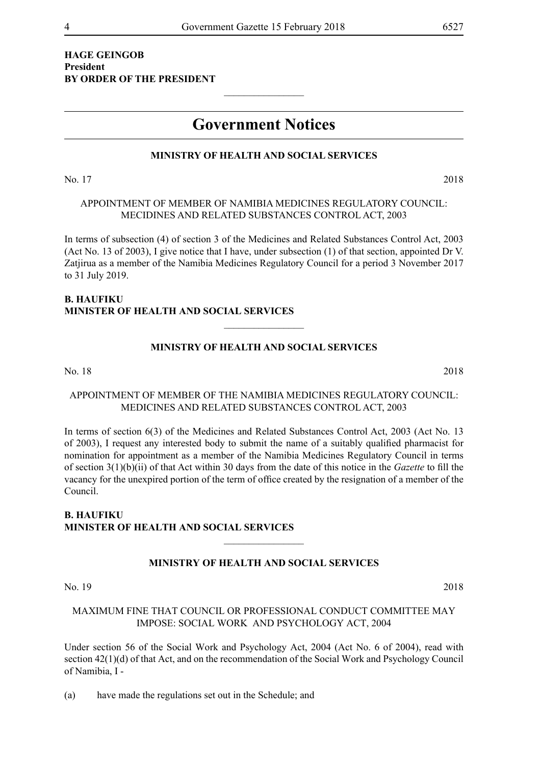## **HAGE GEINGOB President BY ORDER OF THE PRESIDENT**

## **Government Notices**

 $\frac{1}{2}$ 

## **MINISTRY OF HEALTH AND SOCIAL SERVICES**

No. 17 2018

## APPOINTMENT OF MEMBER OF NAMIBIA MEDICINES REGULATORY COUNCIL: MECIDINES AND RELATED SUBSTANCES CONTROL ACT, 2003

In terms of subsection (4) of section 3 of the Medicines and Related Substances Control Act, 2003 (Act No. 13 of 2003), I give notice that I have, under subsection (1) of that section, appointed Dr V. Zatjirua as a member of the Namibia Medicines Regulatory Council for a period 3 November 2017 to 31 July 2019.

## **B. HAUFIKU Minister of Health and Social Services**

## **MINISTRY OF HEALTH AND SOCIAL SERVICES**

 $\frac{1}{2}$ 

No. 18 2018

## APPOINTMENT OF MEMBER OF THE NAMIBIA MEDICINES REGULATORY COUNCIL: MEDICINES AND RELATED SUBSTANCES CONTROL ACT, 2003

In terms of section 6(3) of the Medicines and Related Substances Control Act, 2003 (Act No. 13 of 2003), I request any interested body to submit the name of a suitably qualified pharmacist for nomination for appointment as a member of the Namibia Medicines Regulatory Council in terms of section 3(1)(b)(ii) of that Act within 30 days from the date of this notice in the *Gazette* to fill the vacancy for the unexpired portion of the term of office created by the resignation of a member of the Council.

## **B. HAUFIKU Minister of Health and Social Services**

## **MINISTRY OF HEALTH AND SOCIAL SERVICES**

 $\frac{1}{2}$ 

No. 19 2018

## MAXIMUM FINE THAT COUNCIL OR PROFESSIONAL CONDUCT COMMITTEE MAY IMPOSE: SOCIAL WORK AND PSYCHOLOGY ACT, 2004

Under section 56 of the Social Work and Psychology Act, 2004 (Act No. 6 of 2004), read with section 42(1)(d) of that Act, and on the recommendation of the Social Work and Psychology Council of Namibia, I -

(a) have made the regulations set out in the Schedule; and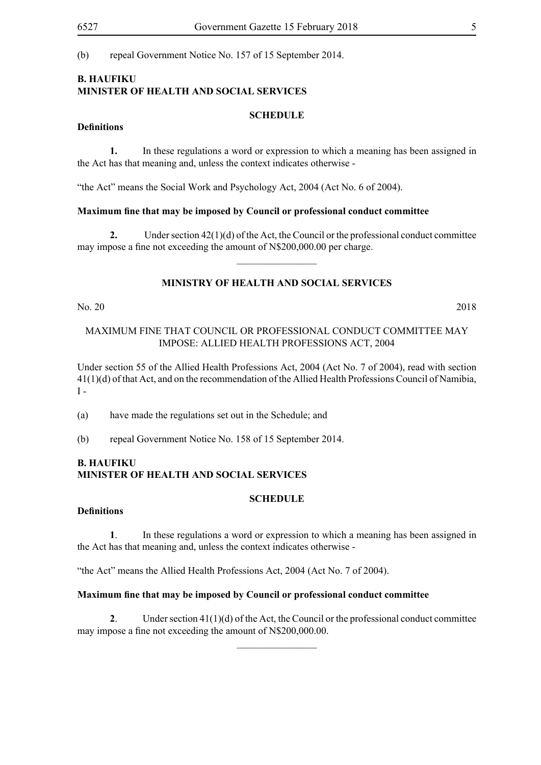(b) repeal Government Notice No. 157 of 15 September 2014.

## **B. HAUFIKU Minister of Health and Social Services**

### **SCHEDULE**

## **Definitions**

**1.** In these regulations a word or expression to which a meaning has been assigned in the Act has that meaning and, unless the context indicates otherwise -

"the Act" means the Social Work and Psychology Act, 2004 (Act No. 6 of 2004).

#### **Maximum fine that may be imposed by Council or professional conduct committee**

**2.** Under section 42(1)(d) of the Act, the Council or the professional conduct committee may impose a fine not exceeding the amount of N\$200,000.00 per charge.  $\overline{\phantom{a}}$  , where  $\overline{\phantom{a}}$ 

## **MINISTRY OF HEALTH AND SOCIAL SERVICES**

No. 20 2018

### MAXIMUM FINE THAT COUNCIL OR PROFESSIONAL CONDUCT COMMITTEE MAY IMPOSE: ALLIED HEALTH PROFESSIONS ACT, 2004

Under section 55 of the Allied Health Professions Act, 2004 (Act No. 7 of 2004), read with section 41(1)(d) of that Act, and on the recommendation of the Allied Health Professions Council of Namibia,  $I -$ 

- (a) have made the regulations set out in the Schedule; and
- (b) repeal Government Notice No. 158 of 15 September 2014.

## **B. HAUFIKU Minister of Health and Social Services**

## **SCHEDULE**

#### **Definitions**

**1**. In these regulations a word or expression to which a meaning has been assigned in the Act has that meaning and, unless the context indicates otherwise -

"the Act" means the Allied Health Professions Act, 2004 (Act No. 7 of 2004).

## **Maximum fine that may be imposed by Council or professional conduct committee**

**2**. Under section 41(1)(d) of the Act, the Council or the professional conduct committee may impose a fine not exceeding the amount of N\$200,000.00.

 $\overline{\phantom{a}}$  , where  $\overline{\phantom{a}}$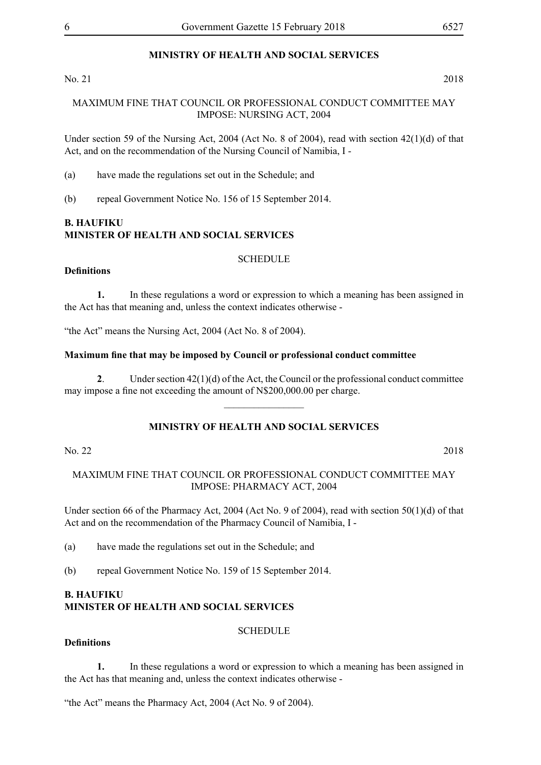## **MINISTRY OF HEALTH AND SOCIAL SERVICES**

## No. 21 2018

## MAXIMUM FINE THAT COUNCIL OR PROFESSIONAL CONDUCT COMMITTEE MAY IMPOSE: NURSING ACT, 2004

Under section 59 of the Nursing Act, 2004 (Act No. 8 of 2004), read with section 42(1)(d) of that Act, and on the recommendation of the Nursing Council of Namibia, I -

- (a) have made the regulations set out in the Schedule; and
- (b) repeal Government Notice No. 156 of 15 September 2014.

## **B. HAUFIKU Minister of Health and Social Services**

#### **SCHEDULE**

## **Definitions**

**1.** In these regulations a word or expression to which a meaning has been assigned in the Act has that meaning and, unless the context indicates otherwise -

"the Act" means the Nursing Act, 2004 (Act No. 8 of 2004).

## **Maximum fine that may be imposed by Council or professional conduct committee**

**2**. Under section 42(1)(d) of the Act, the Council or the professional conduct committee may impose a fine not exceeding the amount of N\$200,000.00 per charge.

 $\overline{\phantom{a}}$  , where  $\overline{\phantom{a}}$ 

## **MINISTRY OF HEALTH AND SOCIAL SERVICES**

## No. 22 2018

MAXIMUM FINE THAT COUNCIL OR PROFESSIONAL CONDUCT COMMITTEE MAY IMPOSE: PHARMACY ACT, 2004

Under section 66 of the Pharmacy Act, 2004 (Act No. 9 of 2004), read with section 50(1)(d) of that Act and on the recommendation of the Pharmacy Council of Namibia, I -

(a) have made the regulations set out in the Schedule; and

(b) repeal Government Notice No. 159 of 15 September 2014.

## **B. HAUFIKU Minister of Health and Social Services**

## **SCHEDULE**

## **Definitions**

**1.** In these regulations a word or expression to which a meaning has been assigned in the Act has that meaning and, unless the context indicates otherwise -

"the Act" means the Pharmacy Act, 2004 (Act No. 9 of 2004).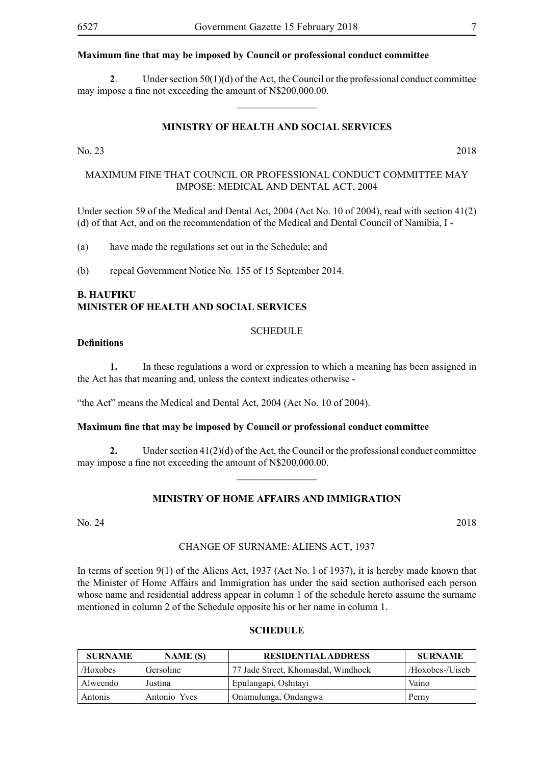#### **Maximum fine that may be imposed by Council or professional conduct committee**

**2**. Under section 50(1)(d) of the Act, the Council or the professional conduct committee may impose a fine not exceeding the amount of N\$200,000.00.

 $\overline{\phantom{a}}$  , where  $\overline{\phantom{a}}$ 

## **MINISTRY OF HEALTH AND SOCIAL SERVICES**

## No. 23 2018

## MAXIMUM FINE THAT COUNCIL OR PROFESSIONAL CONDUCT COMMITTEE MAY IMPOSE: MEDICAL AND DENTAL ACT, 2004

Under section 59 of the Medical and Dental Act, 2004 (Act No. 10 of 2004), read with section 41(2) (d) of that Act, and on the recommendation of the Medical and Dental Council of Namibia, I -

(a) have made the regulations set out in the Schedule; and

(b) repeal Government Notice No. 155 of 15 September 2014.

## **B. HAUFIKU Minister of Health and Social Services**

#### SCHEDULE

#### **Definitions**

**1.** In these regulations a word or expression to which a meaning has been assigned in the Act has that meaning and, unless the context indicates otherwise -

"the Act" means the Medical and Dental Act, 2004 (Act No. 10 of 2004).

#### **Maximum fine that may be imposed by Council or professional conduct committee**

**2.** Under section 41(2)(d) of the Act, the Council or the professional conduct committee may impose a fine not exceeding the amount of N\$200,000.00.

 $\frac{1}{2}$ 

## **MINISTRY OF HOME AFFAIRS AND IMMIGRATION**

#### CHANGE OF SURNAME: ALIENS ACT, 1937

In terms of section 9(1) of the Aliens Act, 1937 (Act No. l of 1937), it is hereby made known that the Minister of Home Affairs and Immigration has under the said section authorised each person whose name and residential address appear in column 1 of the schedule hereto assume the surname mentioned in column 2 of the Schedule opposite his or her name in column 1.

#### **SCHEDULE**

| <b>SURNAME</b> | NAME (S)     | <b>RESIDENTIAL ADDRESS</b>          | <b>SURNAME</b>  |
|----------------|--------------|-------------------------------------|-----------------|
| /Hoxobes       | Gersoline    | 77 Jade Street, Khomasdal, Windhoek | /Hoxobes-/Uiseb |
| Alweendo       | Justina      | Epulangapi, Oshitayi                | Vaino           |
| Antonis        | Antonio Yves | Onamulunga, Ondangwa                | Perny           |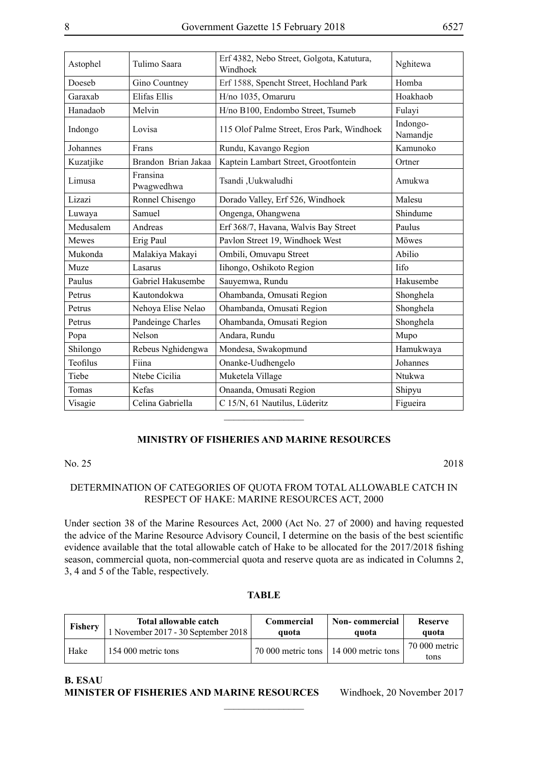| Astophel<br>Tulimo Saara |                        | Erf 4382, Nebo Street, Golgota, Katutura,<br>Windhoek | Nghitewa             |
|--------------------------|------------------------|-------------------------------------------------------|----------------------|
| Doeseb                   | Gino Countney          | Erf 1588, Spencht Street, Hochland Park               | Homba                |
| Garaxab                  | Elifas Ellis           | H/no 1035, Omaruru                                    | Hoakhaob             |
| Hanadaob                 | Melvin                 | H/no B100, Endombo Street, Tsumeb                     | Fulayi               |
| Indongo                  | Lovisa                 | 115 Olof Palme Street, Eros Park, Windhoek            | Indongo-<br>Namandje |
| Johannes                 | Frans                  | Rundu, Kavango Region                                 | Kamunoko             |
| Kuzatjike                | Brandon Brian Jakaa    | Kaptein Lambart Street, Grootfontein                  | Ortner               |
| Limusa                   | Fransina<br>Pwagwedhwa | Tsandi, Uukwaludhi                                    | Amukwa               |
| Lizazi                   | Ronnel Chisengo        | Dorado Valley, Erf 526, Windhoek                      | Malesu               |
| Luwaya                   | Samuel                 | Ongenga, Ohangwena                                    | Shindume             |
| Medusalem                | Andreas                | Erf 368/7, Havana, Walvis Bay Street                  | Paulus               |
| Mewes                    | Erig Paul              | Pavlon Street 19, Windhoek West                       | Möwes                |
| Mukonda                  | Malakiya Makayi        | Ombili, Omuvapu Street                                | Abilio               |
| Muze                     | Lasarus                | Iihongo, Oshikoto Region                              | lifo                 |
| Paulus                   | Gabriel Hakusembe      | Sauyemwa, Rundu                                       | Hakusembe            |
| Petrus                   | Kautondokwa            | Ohambanda, Omusati Region                             | Shonghela            |
| Petrus                   | Nehoya Elise Nelao     | Ohambanda, Omusati Region                             | Shonghela            |
| Petrus                   | Pandeinge Charles      | Ohambanda, Omusati Region                             | Shonghela            |
| Popa                     | Nelson                 | Andara, Rundu                                         | Mupo                 |
| Shilongo                 | Rebeus Nghidengwa      | Mondesa, Swakopmund                                   | Hamukwaya            |
| Teofilus                 | Fiina                  | Onanke-Uudhengelo                                     | Johannes             |
| Tiebe                    | Ntebe Cicilia          | Muketela Village                                      | Ntukwa               |
| Tomas                    | Kefas                  | Onaanda, Omusati Region                               | Shipyu               |
| Visagie                  | Celina Gabriella       | C 15/N, 61 Nautilus, Lüderitz                         | Figueira             |
|                          |                        |                                                       |                      |

## **MINISTRY OF FISHERIES AND MARINE RESOURCES**

#### No. 25 2018

## DETERMINATION OF CATEGORIES OF QUOTA FROM TOTAL ALLOWABLE CATCH IN RESPECT OF HAKE: MARINE RESOURCES ACT, 2000

Under section 38 of the Marine Resources Act, 2000 (Act No. 27 of 2000) and having requested the advice of the Marine Resource Advisory Council, I determine on the basis of the best scientific evidence available that the total allowable catch of Hake to be allocated for the 2017/2018 fishing season, commercial quota, non-commercial quota and reserve quota are as indicated in Columns 2, 3, 4 and 5 of the Table, respectively.

## **TABLE**

| <b>Fishery</b> | Total allowable catch               | <b>Commercial</b>                       | <b>Non-commercial</b> | <b>Reserve</b>        |
|----------------|-------------------------------------|-----------------------------------------|-----------------------|-----------------------|
|                | 1 November 2017 - 30 September 2018 | quota                                   | quota                 | quota                 |
| Hake           | 154 000 metric tons                 | 70 000 metric tons   14 000 metric tons |                       | 70 000 metric<br>tons |

 $\overline{\phantom{a}}$  , where  $\overline{\phantom{a}}$ 

#### **B. ESAU Minister of Fisheries and Marine Resources** Windhoek, 20 November 2017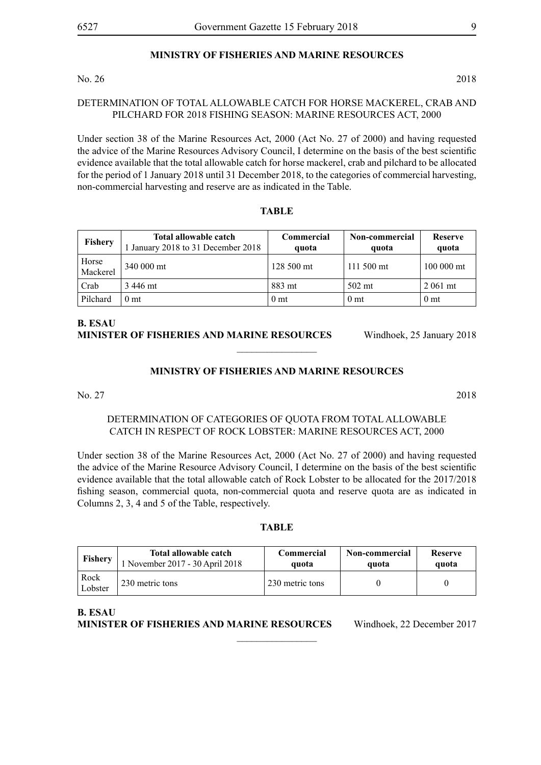## **MINISTRY OF FISHERIES AND MARINE RESOURCES**

#### No. 26 2018

## DETERMINATION OF TOTAL ALLOWABLE CATCH FOR HORSE MACKEREL, CRAB AND PILCHARD FOR 2018 FISHING SEASON: MARINE RESOURCES ACT, 2000

Under section 38 of the Marine Resources Act, 2000 (Act No. 27 of 2000) and having requested the advice of the Marine Resources Advisory Council, I determine on the basis of the best scientific evidence available that the total allowable catch for horse mackerel, crab and pilchard to be allocated for the period of 1 January 2018 until 31 December 2018, to the categories of commercial harvesting, non-commercial harvesting and reserve are as indicated in the Table.

#### **TABLE**

| <b>Fishery</b>    | Total allowable catch<br>January 2018 to 31 December 2018 | Commercial<br>quota | Non-commercial<br>quota | <b>Reserve</b><br>quota |
|-------------------|-----------------------------------------------------------|---------------------|-------------------------|-------------------------|
| Horse<br>Mackerel | 340 000 mt                                                | 128 500 mt          | 111 500 mt              | 100 000 mt              |
| Crab              | 3 446 mt                                                  | 883 mt              | $502$ mt                | 2 061 mt                |
| Pilchard          | 0 mt                                                      | 0 <sub>mt</sub>     | 0 <sub>mt</sub>         | 0 <sub>mt</sub>         |

## **B. ESAU Minister of Fisheries and Marine Resources** Windhoek, 25 January 2018

## **MINISTRY OF FISHERIES AND MARINE RESOURCES**

 $\overline{\phantom{a}}$  , where  $\overline{\phantom{a}}$ 

## No. 27 2018

## DETERMINATION OF CATEGORIES OF QUOTA FROM TOTAL ALLOWABLE CATCH IN RESPECT OF ROCK LOBSTER: MARINE RESOURCES ACT, 2000

Under section 38 of the Marine Resources Act, 2000 (Act No. 27 of 2000) and having requested the advice of the Marine Resource Advisory Council, I determine on the basis of the best scientific evidence available that the total allowable catch of Rock Lobster to be allocated for the 2017/2018 fishing season, commercial quota, non-commercial quota and reserve quota are as indicated in Columns 2, 3, 4 and 5 of the Table, respectively.

## **TABLE**

| <b>Fishery</b>     | Total allowable catch         | Commercial      | Non-commercial | <b>Reserve</b> |
|--------------------|-------------------------------|-----------------|----------------|----------------|
|                    | November 2017 - 30 April 2018 | quota           | quota          | quota          |
| Rock<br>$L$ obster | 230 metric tons               | 230 metric tons |                |                |

 $\overline{\phantom{a}}$  , where  $\overline{\phantom{a}}$ 

**B. ESAU Minister of Fisheries and Marine Resources** Windhoek, 22 December 2017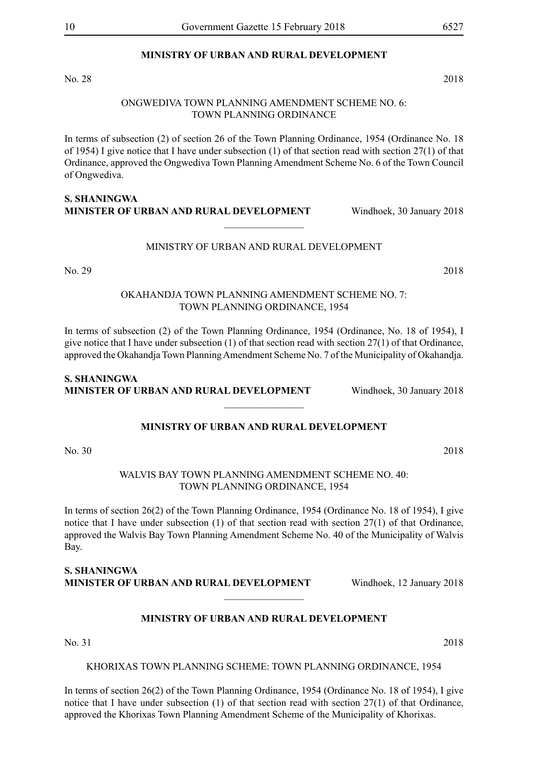## **MINISTRY OF URBAN AND RURAL DEVELOPMENT**

No. 28 2018

#### ONGWEDIVA TOWN PLANNING AMENDMENT SCHEME NO. 6: TOWN PLANNING ORDINANCE

In terms of subsection (2) of section 26 of the Town Planning Ordinance, 1954 (Ordinance No. 18 of 1954) I give notice that I have under subsection (1) of that section read with section 27(1) of that Ordinance, approved the Ongwediva Town Planning Amendment Scheme No. 6 of the Town Council of Ongwediva.

## **S. Shaningwa Minister of Urban and Rural Development** Windhoek, 30 January 2018

### MINISTRY OF URBAN AND RURAL DEVELOPMENT

 $\overline{\phantom{a}}$  , where  $\overline{\phantom{a}}$ 

No. 29 2018

## OKAHANDJA TOWN PLANNING AMENDMENT SCHEME NO. 7: TOWN PLANNING ORDINANCE, 1954

In terms of subsection (2) of the Town Planning Ordinance, 1954 (Ordinance, No. 18 of 1954), I give notice that I have under subsection (1) of that section read with section 27(1) of that Ordinance, approved the Okahandja Town Planning Amendment Scheme No. 7 of the Municipality of Okahandja.

## **S. Shaningwa Minister of Urban and Rural Development** Windhoek, 30 January 2018

## **MINISTRY OF URBAN AND RURAL DEVELOPMENT**

 $\overline{\phantom{a}}$  , where  $\overline{\phantom{a}}$ 

No. 30 2018

WALVIS BAY TOWN PLANNING AMENDMENT SCHEME NO. 40: TOWN PLANNING ORDINANCE, 1954

In terms of section 26(2) of the Town Planning Ordinance, 1954 (Ordinance No. 18 of 1954), I give notice that I have under subsection (1) of that section read with section 27(1) of that Ordinance, approved the Walvis Bay Town Planning Amendment Scheme No. 40 of the Municipality of Walvis Bay.

**S. Shaningwa Minister of Urban and Rural Development** Windhoek, 12 January 2018

## **MINISTRY OF URBAN AND RURAL DEVELOPMENT**

 $\frac{1}{2}$ 

No. 31 2018

KHORIXAS TOWN PLANNING SCHEME: TOWN PLANNING ORDINANCE, 1954

In terms of section 26(2) of the Town Planning Ordinance, 1954 (Ordinance No. 18 of 1954), I give notice that I have under subsection (1) of that section read with section 27(1) of that Ordinance, approved the Khorixas Town Planning Amendment Scheme of the Municipality of Khorixas.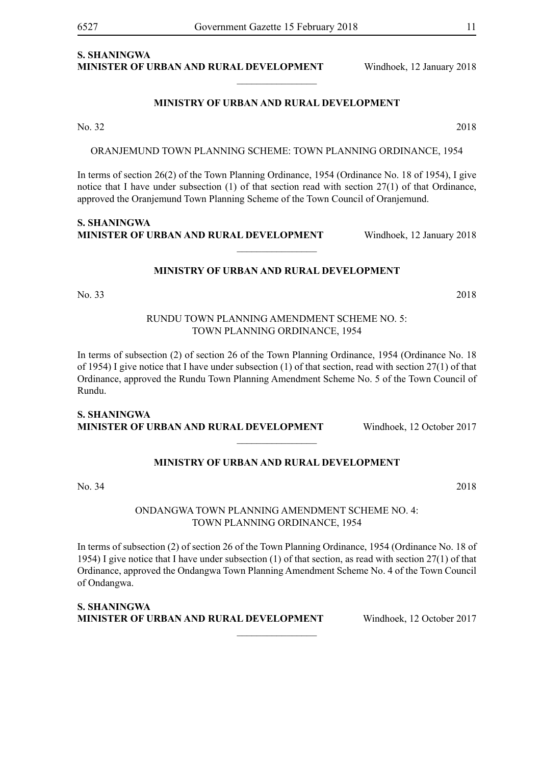## **S. Shaningwa Minister of Urban and Rural Development** Windhoek, 12 January 2018

#### **MINISTRY OF URBAN AND RURAL DEVELOPMENT**

 $\frac{1}{2}$ 

No. 32 2018

ORANJEMUND TOWN PLANNING SCHEME: TOWN PLANNING ORDINANCE, 1954

In terms of section 26(2) of the Town Planning Ordinance, 1954 (Ordinance No. 18 of 1954), I give notice that I have under subsection  $(1)$  of that section read with section  $27(1)$  of that Ordinance, approved the Oranjemund Town Planning Scheme of the Town Council of Oranjemund.

**S. Shaningwa Minister of Urban and Rural Development** Windhoek, 12 January 2018

## **MINISTRY OF URBAN AND RURAL DEVELOPMENT**

 $\frac{1}{2}$ 

No. 33 2018

## RUNDU TOWN PLANNING AMENDMENT SCHEME NO. 5: TOWN PLANNING ORDINANCE, 1954

In terms of subsection (2) of section 26 of the Town Planning Ordinance, 1954 (Ordinance No. 18 of 1954) I give notice that I have under subsection (1) of that section, read with section 27(1) of that Ordinance, approved the Rundu Town Planning Amendment Scheme No. 5 of the Town Council of Rundu.

## **S. Shaningwa Minister of Urban and Rural Development** Windhoek, 12 October 2017

## **MINISTRY OF URBAN AND RURAL DEVELOPMENT**

 $\frac{1}{2}$ 

No. 34 2018

## ONDANGWA TOWN PLANNING AMENDMENT SCHEME NO. 4: TOWN PLANNING ORDINANCE, 1954

In terms of subsection (2) of section 26 of the Town Planning Ordinance, 1954 (Ordinance No. 18 of 1954) I give notice that I have under subsection (1) of that section, as read with section 27(1) of that Ordinance, approved the Ondangwa Town Planning Amendment Scheme No. 4 of the Town Council of Ondangwa.

 $\overline{\phantom{a}}$  , where  $\overline{\phantom{a}}$ 

**S. Shaningwa Minister of Urban and Rural Development** Windhoek, 12 October 2017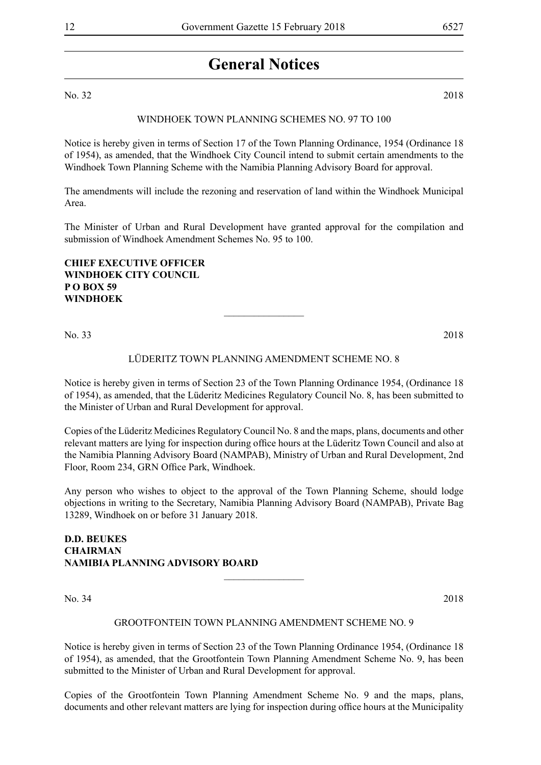## **General Notices**

No. 32 2018

## Windhoek Town Planning Schemes No. 97 TO 100

Notice is hereby given in terms of Section 17 of the Town Planning Ordinance, 1954 (Ordinance 18 of 1954), as amended, that the Windhoek City Council intend to submit certain amendments to the Windhoek Town Planning Scheme with the Namibia Planning Advisory Board for approval.

The amendments will include the rezoning and reservation of land within the Windhoek Municipal Area.

The Minister of Urban and Rural Development have granted approval for the compilation and submission of Windhoek Amendment Schemes No. 95 to 100.

**Chief Executive Officer Windhoek City Council P O Box 59 Windhoek**

No. 33 2018

## LÜDERITZ TOWN PLANNING AMENDMENT SCHEME NO. 8

 $\overline{\phantom{a}}$  , where  $\overline{\phantom{a}}$ 

Notice is hereby given in terms of Section 23 of the Town Planning Ordinance 1954, (Ordinance 18 of 1954), as amended, that the Lüderitz Medicines Regulatory Council No. 8, has been submitted to the Minister of Urban and Rural Development for approval.

Copies of the Lüderitz Medicines Regulatory Council No. 8 and the maps, plans, documents and other relevant matters are lying for inspection during office hours at the Lüderitz Town Council and also at the Namibia Planning Advisory Board (NAMPAB), Ministry of Urban and Rural Development, 2nd Floor, Room 234, GRN Office Park, Windhoek.

Any person who wishes to object to the approval of the Town Planning Scheme, should lodge objections in writing to the Secretary, Namibia Planning Advisory Board (NAMPAB), Private Bag 13289, Windhoek on or before 31 January 2018.

## **D.D. BEUKES CHAIRMAN NAMIBIA PLANNING ADVISORY BOARD**

No. 34 2018

#### GROOTFONTEIN TOWN PLANNING AMENDMENT SCHEME NO. 9

 $\frac{1}{2}$ 

Notice is hereby given in terms of Section 23 of the Town Planning Ordinance 1954, (Ordinance 18 of 1954), as amended, that the Grootfontein Town Planning Amendment Scheme No. 9, has been submitted to the Minister of Urban and Rural Development for approval.

Copies of the Grootfontein Town Planning Amendment Scheme No. 9 and the maps, plans, documents and other relevant matters are lying for inspection during office hours at the Municipality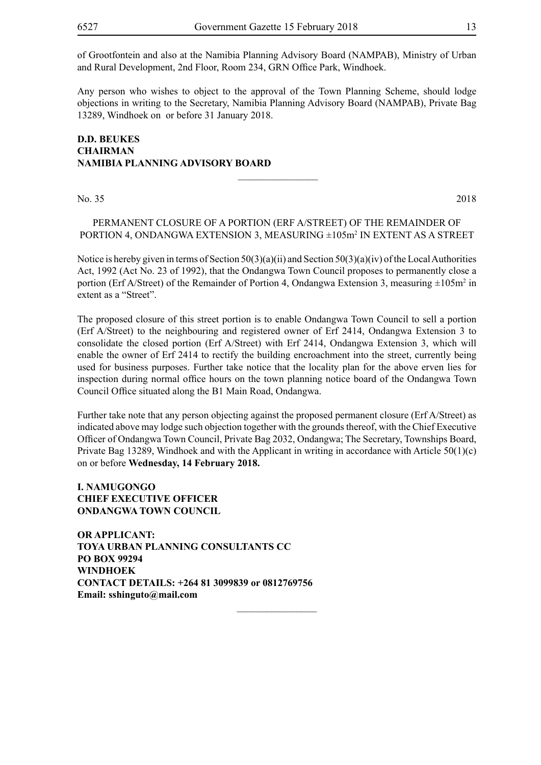of Grootfontein and also at the Namibia Planning Advisory Board (NAMPAB), Ministry of Urban and Rural Development, 2nd Floor, Room 234, GRN Office Park, Windhoek.

Any person who wishes to object to the approval of the Town Planning Scheme, should lodge objections in writing to the Secretary, Namibia Planning Advisory Board (NAMPAB), Private Bag 13289, Windhoek on or before 31 January 2018.

## **D.D. BEUKES CHAIRMAN NAMIBIA PLANNING ADVISORY BOARD**

No. 35 2018

PERMANENT CLOSURE OF A PORTION (ERF A/STREET) OF THE REMAINDER OF PORTION 4, ONDANGWA EXTENSION 3, MEASURING ±105m2 IN EXTENT AS A STREET

 $\frac{1}{2}$ 

Notice is hereby given in terms of Section  $50(3)(a)(ii)$  and Section  $50(3)(a)(iv)$  of the Local Authorities Act, 1992 (Act No. 23 of 1992), that the Ondangwa Town Council proposes to permanently close a portion (Erf A/Street) of the Remainder of Portion 4, Ondangwa Extension 3, measuring  $\pm 105$ m<sup>2</sup> in extent as a "Street".

The proposed closure of this street portion is to enable Ondangwa Town Council to sell a portion (Erf A/Street) to the neighbouring and registered owner of Erf 2414, Ondangwa Extension 3 to consolidate the closed portion (Erf A/Street) with Erf 2414, Ondangwa Extension 3, which will enable the owner of Erf 2414 to rectify the building encroachment into the street, currently being used for business purposes. Further take notice that the locality plan for the above erven lies for inspection during normal office hours on the town planning notice board of the Ondangwa Town Council Office situated along the B1 Main Road, Ondangwa.

Further take note that any person objecting against the proposed permanent closure (Erf A/Street) as indicated above may lodge such objection together with the grounds thereof, with the Chief Executive Officer of Ondangwa Town Council, Private Bag 2032, Ondangwa; The Secretary, Townships Board, Private Bag 13289, Windhoek and with the Applicant in writing in accordance with Article 50(1)(c) on or before **Wednesday, 14 February 2018.**

 $\overline{\phantom{a}}$  , where  $\overline{\phantom{a}}$ 

## **I. NAMUGONGO CHIEF EXECUTIVE OFFICER ONDANGWA TOWN COUNCIL**

**OR APPLICANT: TOYA URBAN PLANNING CONSULTANTS CC PO BOX 99294 WINDHOEK CONTACT DETAILS: +264 81 3099839 or 0812769756 Email: sshinguto@mail.com**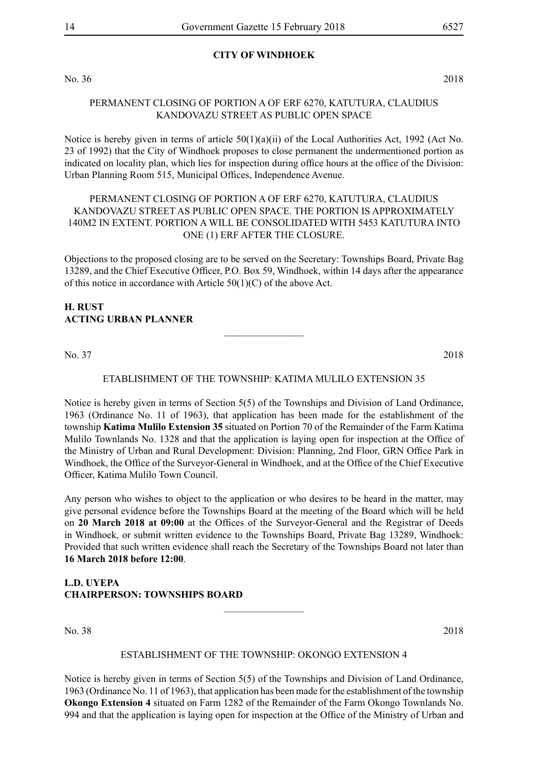## **CITY OF WINDHOEK**

No. 36 2018

## PERMANENT CLOSING OF PORTION A OF ERF 6270, KATUTURA, CLAUDIUS KANDOVAZU STREET AS PUBLIC OPEN SPACE

Notice is hereby given in terms of article  $50(1)(a)(ii)$  of the Local Authorities Act, 1992 (Act No. 23 of 1992) that the City of Windhoek proposes to close permanent the undermentioned portion as indicated on locality plan, which lies for inspection during office hours at the office of the Division: Urban Planning Room 515, Municipal Offices, Independence Avenue.

## PERMANENT CLOSING OF PORTION A OF ERF 6270, KATUTURA, CLAUDIUS KANDOVAZU STREET AS PUBLIC OPEN SPACE. THE PORTION IS APPROXIMATELY 140M2 IN EXTENT. PORTION A WILL BE CONSOLIDATED WITH 5453 KATUTURA INTO ONE (1) ERF AFTER THE CLOSURE.

Objections to the proposed closing are to be served on the Secretary: Townships Board, Private Bag 13289, and the Chief Executive Officer, P.O. Box 59, Windhoek, within 14 days after the appearance of this notice in accordance with Article 50(1)(C) of the above Act.

## **H. RUST ACTING URBAN PLANNER**

No. 37 2018

## ETABLISHMENT OF THE TOWNSHIP: KATIMA MULILO EXTENSION 35

 $\frac{1}{2}$ 

Notice is hereby given in terms of Section 5(5) of the Townships and Division of Land Ordinance, 1963 (Ordinance No. 11 of 1963), that application has been made for the establishment of the township **Katima Mulilo Extension 35** situated on Portion 70 of the Remainder of the Farm Katima Mulilo Townlands No. 1328 and that the application is laying open for inspection at the Office of the Ministry of Urban and Rural Development: Division: Planning, 2nd Floor, GRN Office Park in Windhoek, the Office of the Surveyor-General in Windhoek, and at the Office of the Chief Executive Officer, Katima Mulilo Town Council.

Any person who wishes to object to the application or who desires to be heard in the matter, may give personal evidence before the Townships Board at the meeting of the Board which will be held on **20 March 2018 at 09:00** at the Offices of the Surveyor-General and the Registrar of Deeds in Windhoek, or submit written evidence to the Townships Board, Private Bag 13289, Windhoek: Provided that such written evidence shall reach the Secretary of the Townships Board not later than **16 March 2018 before 12:00**.

## **L.D. UYEPA CHAIRPERSON: TOWNSHIPS BOARD**

No. 38 2018

#### ESTABLISHMENT OF THE TOWNSHIP: OKONGO EXTENSION 4

 $\overline{\phantom{a}}$  , where  $\overline{\phantom{a}}$ 

Notice is hereby given in terms of Section 5(5) of the Townships and Division of Land Ordinance, 1963 (Ordinance No. 11 of 1963), that application has been made for the establishment of the township **Okongo Extension 4** situated on Farm 1282 of the Remainder of the Farm Okongo Townlands No. 994 and that the application is laying open for inspection at the Office of the Ministry of Urban and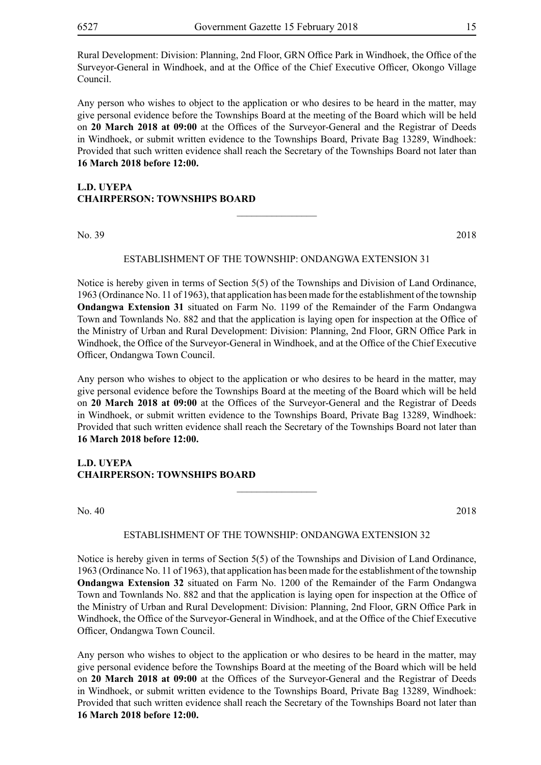Rural Development: Division: Planning, 2nd Floor, GRN Office Park in Windhoek, the Office of the Surveyor-General in Windhoek, and at the Office of the Chief Executive Officer, Okongo Village Council.

Any person who wishes to object to the application or who desires to be heard in the matter, may give personal evidence before the Townships Board at the meeting of the Board which will be held on **20 March 2018 at 09:00** at the Offices of the Surveyor-General and the Registrar of Deeds in Windhoek, or submit written evidence to the Townships Board, Private Bag 13289, Windhoek: Provided that such written evidence shall reach the Secretary of the Townships Board not later than **16 March 2018 before 12:00.**

## **L.D. UYEPA CHAIRPERSON: TOWNSHIPS BOARD**

No. 39 2018

#### ESTABLISHMENT OF THE TOWNSHIP: ONDANGWA EXTENSION 31

 $\overline{\phantom{a}}$  , where  $\overline{\phantom{a}}$ 

Notice is hereby given in terms of Section 5(5) of the Townships and Division of Land Ordinance, 1963 (Ordinance No. 11 of 1963), that application has been made for the establishment of the township **Ondangwa Extension 31** situated on Farm No. 1199 of the Remainder of the Farm Ondangwa Town and Townlands No. 882 and that the application is laying open for inspection at the Office of the Ministry of Urban and Rural Development: Division: Planning, 2nd Floor, GRN Office Park in Windhoek, the Office of the Surveyor-General in Windhoek, and at the Office of the Chief Executive Officer, Ondangwa Town Council.

Any person who wishes to object to the application or who desires to be heard in the matter, may give personal evidence before the Townships Board at the meeting of the Board which will be held on **20 March 2018 at 09:00** at the Offices of the Surveyor-General and the Registrar of Deeds in Windhoek, or submit written evidence to the Townships Board, Private Bag 13289, Windhoek: Provided that such written evidence shall reach the Secretary of the Townships Board not later than **16 March 2018 before 12:00.**

## **L.D. UYEPA CHAIRPERSON: TOWNSHIPS BOARD**

No. 40 2018

#### ESTABLISHMENT OF THE TOWNSHIP: ONDANGWA EXTENSION 32

 $\overline{\phantom{a}}$  , where  $\overline{\phantom{a}}$ 

Notice is hereby given in terms of Section 5(5) of the Townships and Division of Land Ordinance, 1963 (Ordinance No. 11 of 1963), that application has been made for the establishment of the township **Ondangwa Extension 32** situated on Farm No. 1200 of the Remainder of the Farm Ondangwa Town and Townlands No. 882 and that the application is laying open for inspection at the Office of the Ministry of Urban and Rural Development: Division: Planning, 2nd Floor, GRN Office Park in Windhoek, the Office of the Surveyor-General in Windhoek, and at the Office of the Chief Executive Officer, Ondangwa Town Council.

Any person who wishes to object to the application or who desires to be heard in the matter, may give personal evidence before the Townships Board at the meeting of the Board which will be held on **20 March 2018 at 09:00** at the Offices of the Surveyor-General and the Registrar of Deeds in Windhoek, or submit written evidence to the Townships Board, Private Bag 13289, Windhoek: Provided that such written evidence shall reach the Secretary of the Townships Board not later than **16 March 2018 before 12:00.**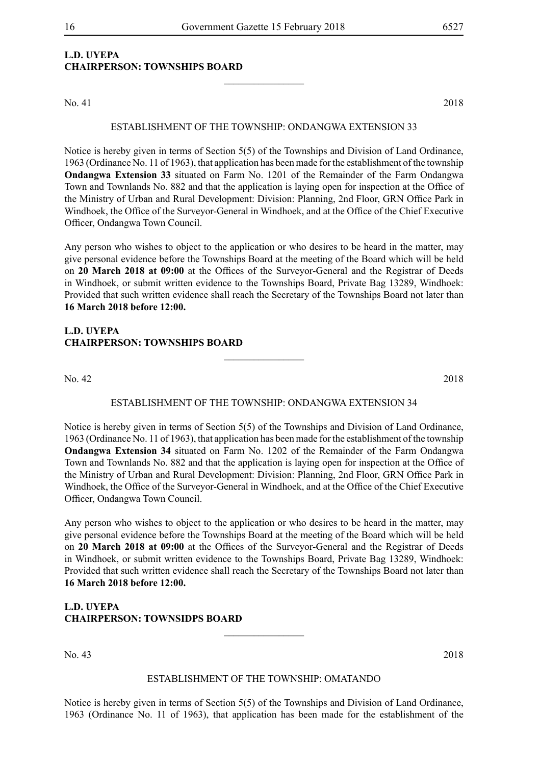## **L.D. UYEPA CHAIRPERSON: TOWNSHIPS BOARD**

No. 41 2018

## ESTABLISHMENT OF THE TOWNSHIP: ONDANGWA EXTENSION 33

 $\frac{1}{2}$ 

Notice is hereby given in terms of Section 5(5) of the Townships and Division of Land Ordinance, 1963 (Ordinance No. 11 of 1963), that application has been made for the establishment of the township **Ondangwa Extension 33** situated on Farm No. 1201 of the Remainder of the Farm Ondangwa Town and Townlands No. 882 and that the application is laying open for inspection at the Office of the Ministry of Urban and Rural Development: Division: Planning, 2nd Floor, GRN Office Park in Windhoek, the Office of the Surveyor-General in Windhoek, and at the Office of the Chief Executive Officer, Ondangwa Town Council.

Any person who wishes to object to the application or who desires to be heard in the matter, may give personal evidence before the Townships Board at the meeting of the Board which will be held on **20 March 2018 at 09:00** at the Offices of the Surveyor-General and the Registrar of Deeds in Windhoek, or submit written evidence to the Townships Board, Private Bag 13289, Windhoek: Provided that such written evidence shall reach the Secretary of the Townships Board not later than **16 March 2018 before 12:00.**

## **L.D. UYEPA CHAIRPERSON: TOWNSHIPS BOARD**

No. 42 2018

## ESTABLISHMENT OF THE TOWNSHIP: ONDANGWA EXTENSION 34

 $\overline{\phantom{a}}$  , where  $\overline{\phantom{a}}$ 

Notice is hereby given in terms of Section 5(5) of the Townships and Division of Land Ordinance, 1963 (Ordinance No. 11 of 1963), that application has been made for the establishment of the township **Ondangwa Extension 34** situated on Farm No. 1202 of the Remainder of the Farm Ondangwa Town and Townlands No. 882 and that the application is laying open for inspection at the Office of the Ministry of Urban and Rural Development: Division: Planning, 2nd Floor, GRN Office Park in Windhoek, the Office of the Surveyor-General in Windhoek, and at the Office of the Chief Executive Officer, Ondangwa Town Council.

Any person who wishes to object to the application or who desires to be heard in the matter, may give personal evidence before the Townships Board at the meeting of the Board which will be held on **20 March 2018 at 09:00** at the Offices of the Surveyor-General and the Registrar of Deeds in Windhoek, or submit written evidence to the Townships Board, Private Bag 13289, Windhoek: Provided that such written evidence shall reach the Secretary of the Townships Board not later than **16 March 2018 before 12:00.**

**L.D. UYEPA CHAIRPERSON: TOWNSIDPS BOARD**

No. 43 2018

#### ESTABLISHMENT OF THE TOWNSHIP: OMATANDO

 $\overline{\phantom{a}}$  , where  $\overline{\phantom{a}}$ 

Notice is hereby given in terms of Section 5(5) of the Townships and Division of Land Ordinance, 1963 (Ordinance No. 11 of 1963), that application has been made for the establishment of the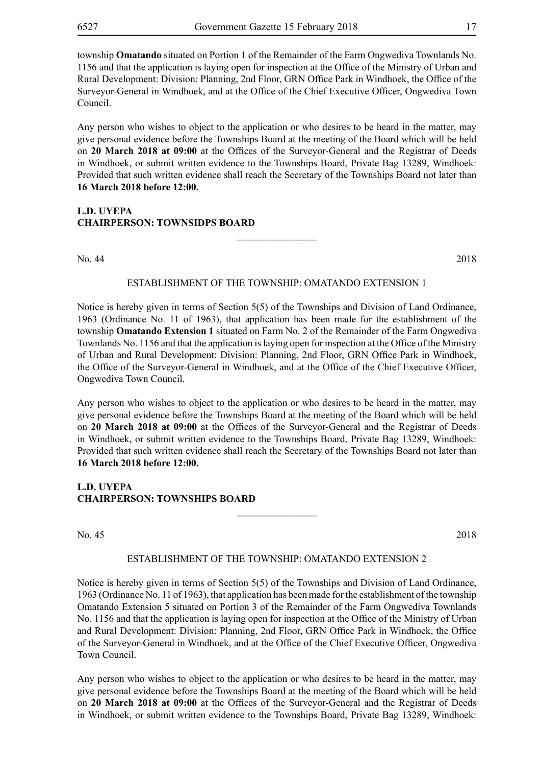township **Omatando** situated on Portion 1 of the Remainder of the Farm Ongwediva Townlands No. 1156 and that the application is laying open for inspection at the Office of the Ministry of Urban and Rural Development: Division: Planning, 2nd Floor, GRN Office Park in Windhoek, the Office of the Surveyor-General in Windhoek, and at the Office of the Chief Executive Officer, Ongwediva Town Council.

Any person who wishes to object to the application or who desires to be heard in the matter, may give personal evidence before the Townships Board at the meeting of the Board which will be held on **20 March 2018 at 09:00** at the Offices of the Surveyor-General and the Registrar of Deeds in Windhoek, or submit written evidence to the Townships Board, Private Bag 13289, Windhoek: Provided that such written evidence shall reach the Secretary of the Townships Board not later than **16 March 2018 before 12:00.**

## **L.D. UYEPA CHAIRPERSON: TOWNSIDPS BOARD**

No. 44 2018

#### ESTABLISHMENT OF THE TOWNSHIP: OMATANDO EXTENSION 1

 $\frac{1}{2}$ 

Notice is hereby given in terms of Section 5(5) of the Townships and Division of Land Ordinance, 1963 (Ordinance No. 11 of 1963), that application has been made for the establishment of the township **Omatando Extension 1** situated on Farm No. 2 of the Remainder of the Farm Ongwediva Townlands No. 1156 and that the application is laying open for inspection at the Office of the Ministry of Urban and Rural Development: Division: Planning, 2nd Floor, GRN Office Park in Windhoek, the Office of the Surveyor-General in Windhoek, and at the Office of the Chief Executive Officer, Ongwediva Town Council.

Any person who wishes to object to the application or who desires to be heard in the matter, may give personal evidence before the Townships Board at the meeting of the Board which will be held on **20 March 2018 at 09:00** at the Offices of the Surveyor-General and the Registrar of Deeds in Windhoek, or submit written evidence to the Townships Board, Private Bag 13289, Windhoek: Provided that such written evidence shall reach the Secretary of the Townships Board not later than **16 March 2018 before 12:00.**

## **L.D. UYEPA CHAIRPERSON: TOWNSHIPS BOARD**

No. 45 2018

#### ESTABLISHMENT OF THE TOWNSHIP: OMATANDO EXTENSION 2

 $\frac{1}{2}$ 

Notice is hereby given in terms of Section 5(5) of the Townships and Division of Land Ordinance, 1963 (Ordinance No. 11 of 1963), that application has been made for the establishment of the township Omatando Extension 5 situated on Portion 3 of the Remainder of the Farm Ongwediva Townlands No. 1156 and that the application is laying open for inspection at the Office of the Ministry of Urban and Rural Development: Division: Planning, 2nd Floor, GRN Office Park in Windhoek, the Office of the Surveyor-General in Windhoek, and at the Office of the Chief Executive Officer, Ongwediva Town Council.

Any person who wishes to object to the application or who desires to be heard in the matter, may give personal evidence before the Townships Board at the meeting of the Board which will be held on **20 March 2018 at 09:00** at the Offices of the Surveyor-General and the Registrar of Deeds in Windhoek, or submit written evidence to the Townships Board, Private Bag 13289, Windhoek: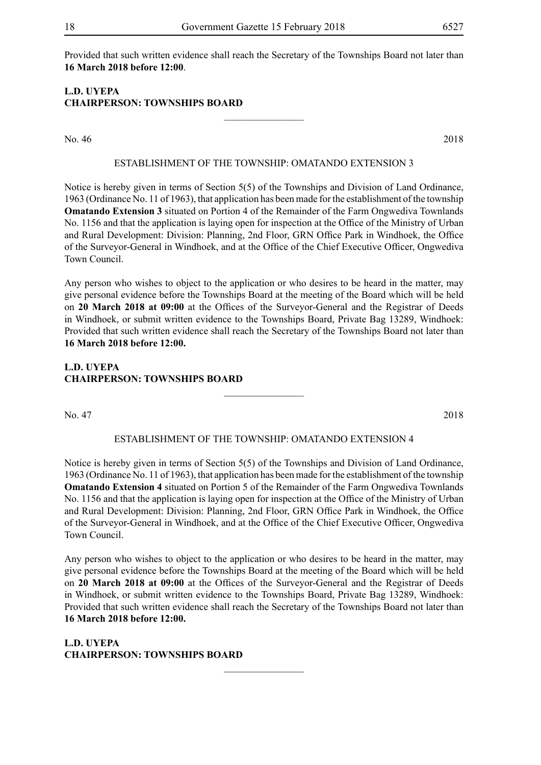Provided that such written evidence shall reach the Secretary of the Townships Board not later than **16 March 2018 before 12:00**.

## **L.D. UYEPA CHAIRPERSON: TOWNSHIPS BOARD**

No. 46 2018

## ESTABLISHMENT OF THE TOWNSHIP: OMATANDO EXTENSION 3

 $\frac{1}{2}$ 

Notice is hereby given in terms of Section 5(5) of the Townships and Division of Land Ordinance, 1963 (Ordinance No. 11 of 1963), that application has been made for the establishment of the township **Omatando Extension 3** situated on Portion 4 of the Remainder of the Farm Ongwediva Townlands No. 1156 and that the application is laying open for inspection at the Office of the Ministry of Urban and Rural Development: Division: Planning, 2nd Floor, GRN Office Park in Windhoek, the Office of the Surveyor-General in Windhoek, and at the Office of the Chief Executive Officer, Ongwediva Town Council.

Any person who wishes to object to the application or who desires to be heard in the matter, may give personal evidence before the Townships Board at the meeting of the Board which will be held on **20 March 2018 at 09:00** at the Offices of the Surveyor-General and the Registrar of Deeds in Windhoek, or submit written evidence to the Townships Board, Private Bag 13289, Windhoek: Provided that such written evidence shall reach the Secretary of the Townships Board not later than **16 March 2018 before 12:00.**

## **L.D. UYEPA CHAIRPERSON: TOWNSHIPS BOARD**

No. 47 2018

## ESTABLISHMENT OF THE TOWNSHIP: OMATANDO EXTENSION 4

 $\frac{1}{2}$ 

Notice is hereby given in terms of Section 5(5) of the Townships and Division of Land Ordinance, 1963 (Ordinance No. 11 of 1963), that application has been made for the establishment of the township **Omatando Extension 4** situated on Portion 5 of the Remainder of the Farm Ongwediva Townlands No. 1156 and that the application is laying open for inspection at the Office of the Ministry of Urban and Rural Development: Division: Planning, 2nd Floor, GRN Office Park in Windhoek, the Office of the Surveyor-General in Windhoek, and at the Office of the Chief Executive Officer, Ongwediva Town Council.

Any person who wishes to object to the application or who desires to be heard in the matter, may give personal evidence before the Townships Board at the meeting of the Board which will be held on **20 March 2018 at 09:00** at the Offices of the Surveyor-General and the Registrar of Deeds in Windhoek, or submit written evidence to the Townships Board, Private Bag 13289, Windhoek: Provided that such written evidence shall reach the Secretary of the Townships Board not later than **16 March 2018 before 12:00.**

 $\frac{1}{2}$ 

**L.D. UYEPA CHAIRPERSON: TOWNSHIPS BOARD**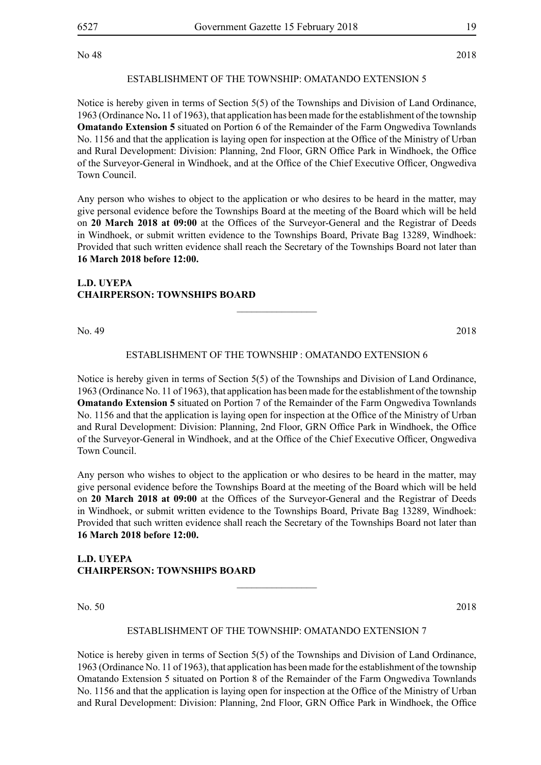No 48 2018

ESTABLISHMENT OF THE TOWNSHIP: OMATANDO EXTENSION 5

Notice is hereby given in terms of Section 5(5) of the Townships and Division of Land Ordinance, 1963 (Ordinance No**.** 11 of 1963), that application has been made for the establishment of the township **Omatando Extension 5** situated on Portion 6 of the Remainder of the Farm Ongwediva Townlands No. 1156 and that the application is laying open for inspection at the Office of the Ministry of Urban and Rural Development: Division: Planning, 2nd Floor, GRN Office Park in Windhoek, the Office of the Surveyor-General in Windhoek, and at the Office of the Chief Executive Officer, Ongwediva Town Council.

Any person who wishes to object to the application or who desires to be heard in the matter, may give personal evidence before the Townships Board at the meeting of the Board which will be held on **20 March 2018 at 09:00** at the Offices of the Surveyor-General and the Registrar of Deeds in Windhoek, or submit written evidence to the Townships Board, Private Bag 13289, Windhoek: Provided that such written evidence shall reach the Secretary of the Townships Board not later than **16 March 2018 before 12:00.**

## **L.D. UYEPA CHAIRPERSON: TOWNSHIPS BOARD**

No. 49 2018

## ESTABLISHMENT OF THE TOWNSHIP : OMATANDO EXTENSION 6

 $\overline{\phantom{a}}$  , where  $\overline{\phantom{a}}$ 

Notice is hereby given in terms of Section 5(5) of the Townships and Division of Land Ordinance, 1963 (Ordinance No. 11 of 1963), that application has been made for the establishment of the township **Omatando Extension 5** situated on Portion 7 of the Remainder of the Farm Ongwediva Townlands No. 1156 and that the application is laying open for inspection at the Office of the Ministry of Urban and Rural Development: Division: Planning, 2nd Floor, GRN Office Park in Windhoek, the Office of the Surveyor-General in Windhoek, and at the Office of the Chief Executive Officer, Ongwediva Town Council.

Any person who wishes to object to the application or who desires to be heard in the matter, may give personal evidence before the Townships Board at the meeting of the Board which will be held on **20 March 2018 at 09:00** at the Offices of the Surveyor-General and the Registrar of Deeds in Windhoek, or submit written evidence to the Townships Board, Private Bag 13289, Windhoek: Provided that such written evidence shall reach the Secretary of the Townships Board not later than **16 March 2018 before 12:00.**

## **L.D. UYEPA CHAIRPERSON: TOWNSHIPS BOARD**

No. 50 2018

## ESTABLISHMENT OF THE TOWNSHIP: OMATANDO EXTENSION 7

 $\frac{1}{2}$ 

Notice is hereby given in terms of Section 5(5) of the Townships and Division of Land Ordinance, 1963 (Ordinance No. 11 of 1963), that application has been made for the establishment of the township Omatando Extension 5 situated on Portion 8 of the Remainder of the Farm Ongwediva Townlands No. 1156 and that the application is laying open for inspection at the Office of the Ministry of Urban and Rural Development: Division: Planning, 2nd Floor, GRN Office Park in Windhoek, the Office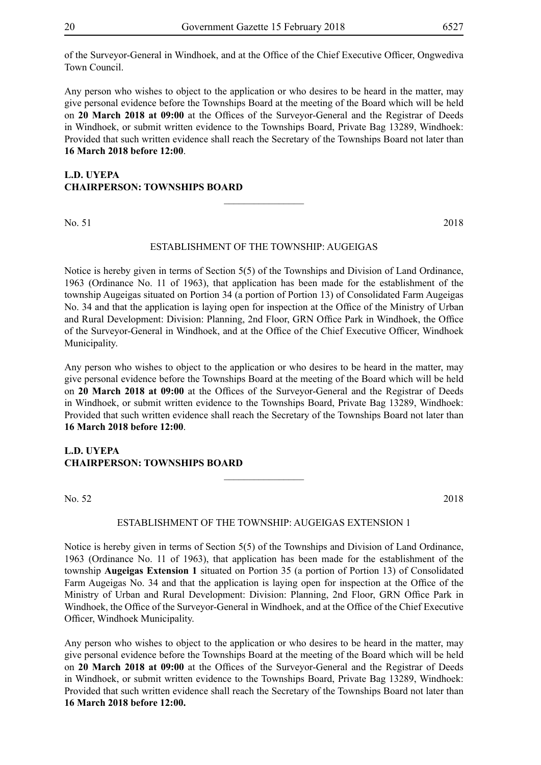of the Surveyor-General in Windhoek, and at the Office of the Chief Executive Officer, Ongwediva Town Council.

Any person who wishes to object to the application or who desires to be heard in the matter, may give personal evidence before the Townships Board at the meeting of the Board which will be held on **20 March 2018 at 09:00** at the Offices of the Surveyor-General and the Registrar of Deeds in Windhoek, or submit written evidence to the Townships Board, Private Bag 13289, Windhoek: Provided that such written evidence shall reach the Secretary of the Townships Board not later than **16 March 2018 before 12:00**.

## **L.D. UYEPA CHAIRPERSON: TOWNSHIPS BOARD**

No. 51 2018

## ESTABLISHMENT OF THE TOWNSHIP: AUGEIGAS

 $\overline{\phantom{a}}$  , where  $\overline{\phantom{a}}$ 

Notice is hereby given in terms of Section 5(5) of the Townships and Division of Land Ordinance, 1963 (Ordinance No. 11 of 1963), that application has been made for the establishment of the township Augeigas situated on Portion 34 (a portion of Portion 13) of Consolidated Farm Augeigas No. 34 and that the application is laying open for inspection at the Office of the Ministry of Urban and Rural Development: Division: Planning, 2nd Floor, GRN Office Park in Windhoek, the Office of the Surveyor-General in Windhoek, and at the Office of the Chief Executive Officer, Windhoek Municipality.

Any person who wishes to object to the application or who desires to be heard in the matter, may give personal evidence before the Townships Board at the meeting of the Board which will be held on **20 March 2018 at 09:00** at the Offices of the Surveyor-General and the Registrar of Deeds in Windhoek, or submit written evidence to the Townships Board, Private Bag 13289, Windhoek: Provided that such written evidence shall reach the Secretary of the Townships Board not later than **16 March 2018 before 12:00**.

## **L.D. UYEPA CHAIRPERSON: TOWNSHIPS BOARD**

No. 52 2018

## ESTABLISHMENT OF THE TOWNSHIP: AUGEIGAS EXTENSION 1

 $\overline{\phantom{a}}$  , where  $\overline{\phantom{a}}$ 

Notice is hereby given in terms of Section 5(5) of the Townships and Division of Land Ordinance, 1963 (Ordinance No. 11 of 1963), that application has been made for the establishment of the township **Augeigas Extension 1** situated on Portion 35 (a portion of Portion 13) of Consolidated Farm Augeigas No. 34 and that the application is laying open for inspection at the Office of the Ministry of Urban and Rural Development: Division: Planning, 2nd Floor, GRN Office Park in Windhoek, the Office of the Surveyor-General in Windhoek, and at the Office of the Chief Executive Officer, Windhoek Municipality.

Any person who wishes to object to the application or who desires to be heard in the matter, may give personal evidence before the Townships Board at the meeting of the Board which will be held on **20 March 2018 at 09:00** at the Offices of the Surveyor-General and the Registrar of Deeds in Windhoek, or submit written evidence to the Townships Board, Private Bag 13289, Windhoek: Provided that such written evidence shall reach the Secretary of the Townships Board not later than **16 March 2018 before 12:00.**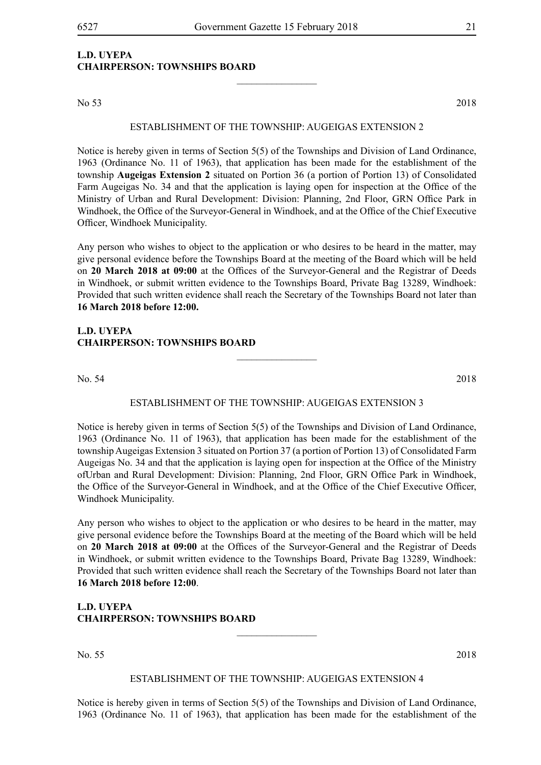$\frac{1}{2}$ 

## **L.D. UYEPA CHAIRPERSON: TOWNSHIPS BOARD**

No 53 2018

#### ESTABLISHMENT OF THE TOWNSHIP: AUGEIGAS EXTENSION 2

Notice is hereby given in terms of Section 5(5) of the Townships and Division of Land Ordinance, 1963 (Ordinance No. 11 of 1963), that application has been made for the establishment of the township **Augeigas Extension 2** situated on Portion 36 (a portion of Portion 13) of Consolidated Farm Augeigas No. 34 and that the application is laying open for inspection at the Office of the Ministry of Urban and Rural Development: Division: Planning, 2nd Floor, GRN Office Park in Windhoek, the Office of the Surveyor-General in Windhoek, and at the Office of the Chief Executive Officer, Windhoek Municipality.

Any person who wishes to object to the application or who desires to be heard in the matter, may give personal evidence before the Townships Board at the meeting of the Board which will be held on **20 March 2018 at 09:00** at the Offices of the Surveyor-General and the Registrar of Deeds in Windhoek, or submit written evidence to the Townships Board, Private Bag 13289, Windhoek: Provided that such written evidence shall reach the Secretary of the Townships Board not later than **16 March 2018 before 12:00.**

## **L.D. UYEPA CHAIRPERSON: TOWNSHIPS BOARD**

No. 54 2018

## ESTABLISHMENT OF THE TOWNSHIP: AUGEIGAS EXTENSION 3

 $\overline{\phantom{a}}$  , where  $\overline{\phantom{a}}$ 

Notice is hereby given in terms of Section 5(5) of the Townships and Division of Land Ordinance, 1963 (Ordinance No. 11 of 1963), that application has been made for the establishment of the township Augeigas Extension 3 situated on Portion 37 (a portion of Portion 13) of Consolidated Farm Augeigas No. 34 and that the application is laying open for inspection at the Office of the Ministry ofUrban and Rural Development: Division: Planning, 2nd Floor, GRN Office Park in Windhoek, the Office of the Surveyor-General in Windhoek, and at the Office of the Chief Executive Officer, Windhoek Municipality.

Any person who wishes to object to the application or who desires to be heard in the matter, may give personal evidence before the Townships Board at the meeting of the Board which will be held on **20 March 2018 at 09:00** at the Offices of the Surveyor-General and the Registrar of Deeds in Windhoek, or submit written evidence to the Townships Board, Private Bag 13289, Windhoek: Provided that such written evidence shall reach the Secretary of the Townships Board not later than **16 March 2018 before 12:00**.

**L.D. UYEPA CHAIRPERSON: TOWNSHIPS BOARD**

No. 55 2018

#### ESTABLISHMENT OF THE TOWNSHIP: AUGEIGAS EXTENSION 4

 $\overline{\phantom{a}}$  , where  $\overline{\phantom{a}}$ 

Notice is hereby given in terms of Section 5(5) of the Townships and Division of Land Ordinance, 1963 (Ordinance No. 11 of 1963), that application has been made for the establishment of the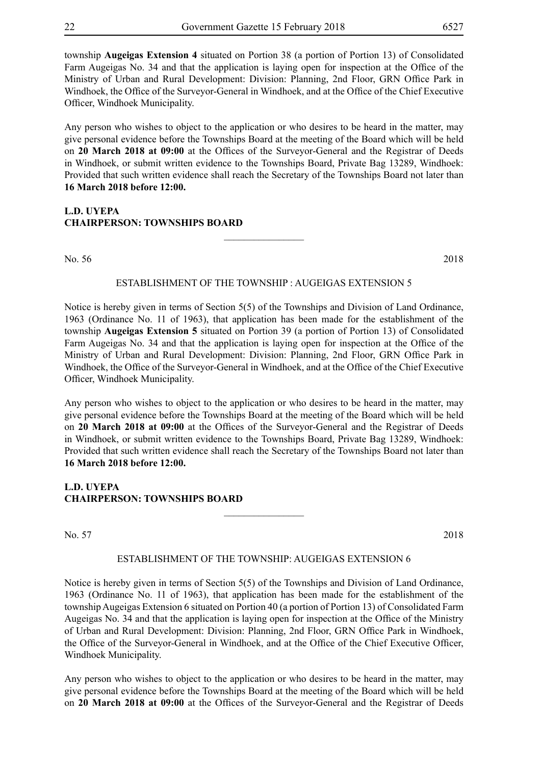township **Augeigas Extension 4** situated on Portion 38 (a portion of Portion 13) of Consolidated Farm Augeigas No. 34 and that the application is laying open for inspection at the Office of the Ministry of Urban and Rural Development: Division: Planning, 2nd Floor, GRN Office Park in Windhoek, the Office of the Surveyor-General in Windhoek, and at the Office of the Chief Executive Officer, Windhoek Municipality.

Any person who wishes to object to the application or who desires to be heard in the matter, may give personal evidence before the Townships Board at the meeting of the Board which will be held on **20 March 2018 at 09:00** at the Offices of the Surveyor-General and the Registrar of Deeds in Windhoek, or submit written evidence to the Townships Board, Private Bag 13289, Windhoek: Provided that such written evidence shall reach the Secretary of the Townships Board not later than **16 March 2018 before 12:00.**

## **L.D. UYEPA CHAIRPERSON: TOWNSHIPS BOARD**

No. 56 2018

#### ESTABLISHMENT OF THE TOWNSHIP : AUGEIGAS EXTENSION 5

 $\frac{1}{2}$ 

Notice is hereby given in terms of Section 5(5) of the Townships and Division of Land Ordinance, 1963 (Ordinance No. 11 of 1963), that application has been made for the establishment of the township **Augeigas Extension 5** situated on Portion 39 (a portion of Portion 13) of Consolidated Farm Augeigas No. 34 and that the application is laying open for inspection at the Office of the Ministry of Urban and Rural Development: Division: Planning, 2nd Floor, GRN Office Park in Windhoek, the Office of the Surveyor-General in Windhoek, and at the Office of the Chief Executive Officer, Windhoek Municipality.

Any person who wishes to object to the application or who desires to be heard in the matter, may give personal evidence before the Townships Board at the meeting of the Board which will be held on **20 March 2018 at 09:00** at the Offices of the Surveyor-General and the Registrar of Deeds in Windhoek, or submit written evidence to the Townships Board, Private Bag 13289, Windhoek: Provided that such written evidence shall reach the Secretary of the Townships Board not later than **16 March 2018 before 12:00.**

## **L.D. UYEPA CHAIRPERSON: TOWNSHIPS BOARD**

No. 57 2018

#### ESTABLISHMENT OF THE TOWNSHIP: AUGEIGAS EXTENSION 6

 $\frac{1}{2}$ 

Notice is hereby given in terms of Section 5(5) of the Townships and Division of Land Ordinance, 1963 (Ordinance No. 11 of 1963), that application has been made for the establishment of the township Augeigas Extension 6 situated on Portion 40 (a portion of Portion 13) of Consolidated Farm Augeigas No. 34 and that the application is laying open for inspection at the Office of the Ministry of Urban and Rural Development: Division: Planning, 2nd Floor, GRN Office Park in Windhoek, the Office of the Surveyor-General in Windhoek, and at the Office of the Chief Executive Officer, Windhoek Municipality.

Any person who wishes to object to the application or who desires to be heard in the matter, may give personal evidence before the Townships Board at the meeting of the Board which will be held on **20 March 2018 at 09:00** at the Offices of the Surveyor-General and the Registrar of Deeds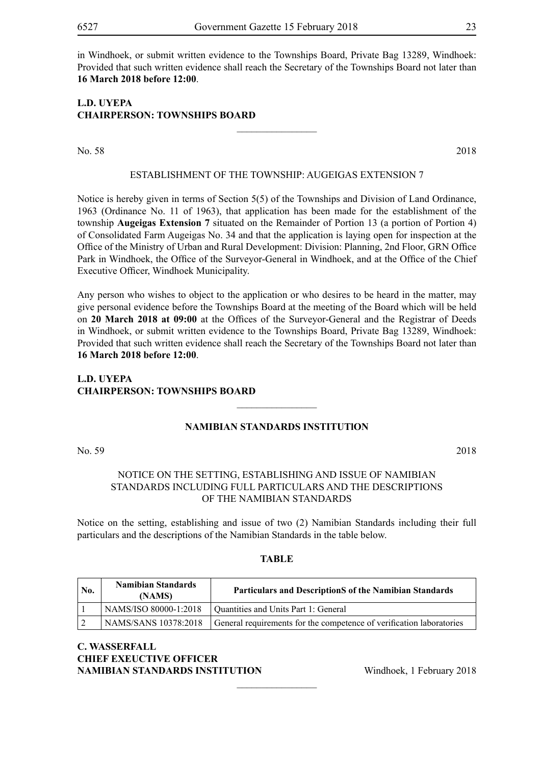in Windhoek, or submit written evidence to the Townships Board, Private Bag 13289, Windhoek: Provided that such written evidence shall reach the Secretary of the Townships Board not later than **16 March 2018 before 12:00**.

## **L.D. UYEPA CHAIRPERSON: TOWNSHIPS BOARD**

No. 58 2018

## ESTABLISHMENT OF THE TOWNSHIP: AUGEIGAS EXTENSION 7

 $\frac{1}{2}$ 

Notice is hereby given in terms of Section 5(5) of the Townships and Division of Land Ordinance, 1963 (Ordinance No. 11 of 1963), that application has been made for the establishment of the township **Augeigas Extension 7** situated on the Remainder of Portion 13 (a portion of Portion 4) of Consolidated Farm Augeigas No. 34 and that the application is laying open for inspection at the Office of the Ministry of Urban and Rural Development: Division: Planning, 2nd Floor, GRN Office Park in Windhoek, the Office of the Surveyor-General in Windhoek, and at the Office of the Chief Executive Officer, Windhoek Municipality.

Any person who wishes to object to the application or who desires to be heard in the matter, may give personal evidence before the Townships Board at the meeting of the Board which will be held on **20 March 2018 at 09:00** at the Offices of the Surveyor-General and the Registrar of Deeds in Windhoek, or submit written evidence to the Townships Board, Private Bag 13289, Windhoek: Provided that such written evidence shall reach the Secretary of the Townships Board not later than **16 March 2018 before 12:00**.

## **L.D. UYEPA CHAIRPERSON: TOWNSHIPS BOARD**

## **NAMIBIAN STANDARDS INSTITUTlON**

 $\frac{1}{2}$ 

No. 59 2018

## Notice on the setting, establishing and issue of Namibian standardS including full particulars and the descriptionS of the Namibian standardS

Notice on the setting, establishing and issue of two (2) Namibian Standards including their full particulars and the descriptions of the Namibian Standards in the table below.

## **TABLE**

| No. | <b>Namibian Standards</b><br>(NAMS) | <b>Particulars and DescriptionS of the Namibian Standards</b>        |
|-----|-------------------------------------|----------------------------------------------------------------------|
|     | NAMS/ISO 80000-1:2018               | Quantities and Units Part 1: General                                 |
|     | NAMS/SANS 10378:2018                | General requirements for the competence of verification laboratories |

 $\overline{\phantom{a}}$  , where  $\overline{\phantom{a}}$ 

## **C. WASSERFALL CHIEF EXEUCTIVE OFFICER NAMIBIAN STANDARDS INSTITUTION** Windhoek, 1 February 2018